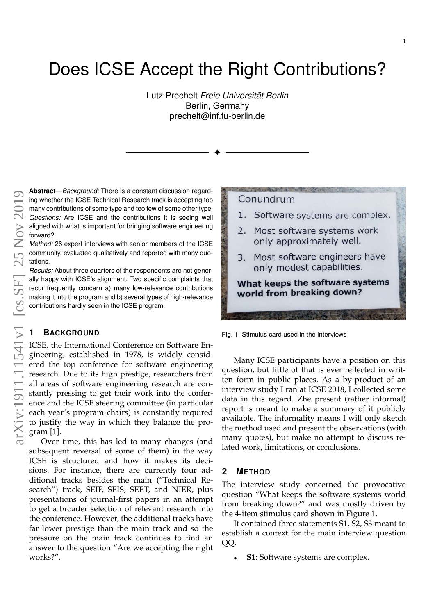# Does ICSE Accept the Right Contributions?

Lutz Prechelt *Freie Universität Berlin* Berlin, Germany prechelt@inf.fu-berlin.de

✦

**Abstract**—*Background:* There is a constant discussion regarding whether the ICSE Technical Research track is accepting too many contributions of some type and too few of some other type. *Questions:* Are ICSE and the contributions it is seeing well aligned with what is important for bringing software engineering forward?

*Method:* 26 expert interviews with senior members of the ICSE community, evaluated qualitatively and reported with many quotations.

*Results:* About three quarters of the respondents are not generally happy with ICSE's alignment. Two specific complaints that recur frequently concern a) many low-relevance contributions making it into the program and b) several types of high-relevance contributions hardly seen in the ICSE program.

## **1 BACKGROUND**

ICSE, the International Conference on Software Engineering, established in 1978, is widely considered the top conference for software engineering research. Due to its high prestige, researchers from all areas of software engineering research are constantly pressing to get their work into the conference and the ICSE steering committee (in particular each year's program chairs) is constantly required to justify the way in which they balance the program [\[1\]](#page-2-0).

Over time, this has led to many changes (and subsequent reversal of some of them) in the way ICSE is structured and how it makes its decisions. For instance, there are currently four additional tracks besides the main ("Technical Research") track, SEIP, SEIS, SEET, and NIER, plus presentations of journal-first papers in an attempt to get a broader selection of relevant research into the conference. However, the additional tracks have far lower prestige than the main track and so the pressure on the main track continues to find an answer to the question "Are we accepting the right works?".



Fig. 1. Stimulus card used in the interviews

<span id="page-0-0"></span>Many ICSE participants have a position on this question, but little of that is ever reflected in written form in public places. As a by-product of an interview study I ran at ICSE 2018, I collected some data in this regard. Zhe present (rather informal) report is meant to make a summary of it publicly available. The informality means I will only sketch the method used and present the observations (with many quotes), but make no attempt to discuss related work, limitations, or conclusions.

#### **2 METHOD**

The interview study concerned the provocative question "What keeps the software systems world from breaking down?" and was mostly driven by the 4-item stimulus card shown in Figure [1.](#page-0-0)

It contained three statements S1, S2, S3 meant to establish a context for the main interview question QQ.

**S1**: Software systems are complex.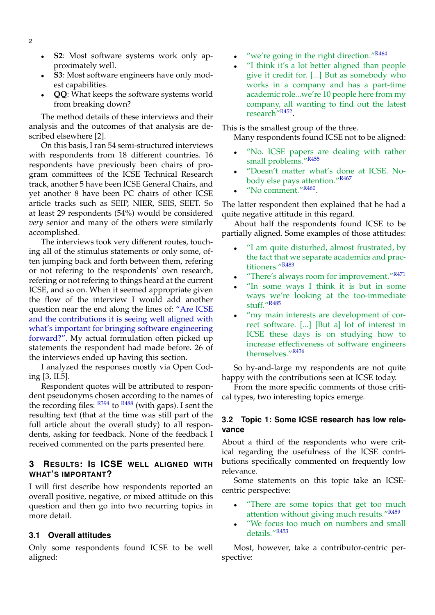- **S2**: Most software systems work only approximately well.
- **S3**: Most software engineers have only modest capabilities.
- **QQ**: What keeps the software systems world from breaking down?

The method details of these interviews and their analysis and the outcomes of that analysis are described elsewhere [\[2\]](#page-2-1).

On this basis, I ran 54 semi-structured interviews with respondents from 18 different countries. 16 respondents have previously been chairs of program committees of the ICSE Technical Research track, another 5 have been ICSE General Chairs, and yet another 8 have been PC chairs of other ICSE article tracks such as SEIP, NIER, SEIS, SEET. So at least 29 respondents (54%) would be considered *very* senior and many of the others were similarly accomplished.

The interviews took very different routes, touching all of the stimulus statements or only some, often jumping back and forth between them, refering or not refering to the respondents' own research, refering or not refering to things heard at the current ICSE, and so on. When it seemed appropriate given the flow of the interview I would add another question near the end along the lines of: "Are ICSE and the contributions it is seeing well aligned with what's important for bringing software engineering forward?". My actual formulation often picked up statements the respondent had made before. 26 of the interviews ended up having this section.

I analyzed the responses mostly via Open Coding [\[3,](#page-2-2) II.5].

Respondent quotes will be attributed to respondent pseudonyms chosen according to the names of the recording files:  $R_{394}$  to  $R_{488}$  (with gaps). I sent the resulting text (that at the time was still part of the full article about the overall study) to all respondents, asking for feedback. None of the feedback I received commented on the parts presented here.

## **3 RESULTS: IS ICSE WELL ALIGNED WITH WHAT'S IMPORTANT?**

I will first describe how respondents reported an overall positive, negative, or mixed attitude on this question and then go into two recurring topics in more detail.

#### **3.1 Overall attitudes**

Only some respondents found ICSE to be well aligned:

- "we're going in the right direction." $R464$
- "I think it's a lot better aligned than people give it credit for. [...] But as somebody who works in a company and has a part-time academic role...we're 10 people here from my company, all wanting to find out the latest research"<sup>R452</sup>.

This is the smallest group of the three.

Many respondents found ICSE not to be aligned:

- "No. ICSE papers are dealing with rather small problems."R455
- "Doesn't matter what's done at ICSE. Nobody else pays attention."R467
- "No comment."<sup>R460</sup>.

The latter respondent then explained that he had a quite negative attitude in this regard.

About half the respondents found ICSE to be partially aligned. Some examples of those attitudes:

- "I am quite disturbed, almost frustrated, by the fact that we separate academics and practitioners."R483
- "There's always room for improvement."R471
- "In some ways I think it is but in some ways we're looking at the too-immediate stuff."R485
- "my main interests are development of correct software. [...] [But a] lot of interest in ICSE these days is on studying how to increase effectiveness of software engineers themselves."R436

So by-and-large my respondents are not quite happy with the contributions seen at ICSE today.

From the more specific comments of those critical types, two interesting topics emerge.

### **3.2 Topic 1: Some ICSE research has low relevance**

About a third of the respondents who were critical regarding the usefulness of the ICSE contributions specifically commented on frequently low relevance.

Some statements on this topic take an ICSEcentric perspective:

- "There are some topics that get too much attention without giving much results."R459
- "We focus too much on numbers and small details."R453

Most, however, take a contributor-centric perspective: